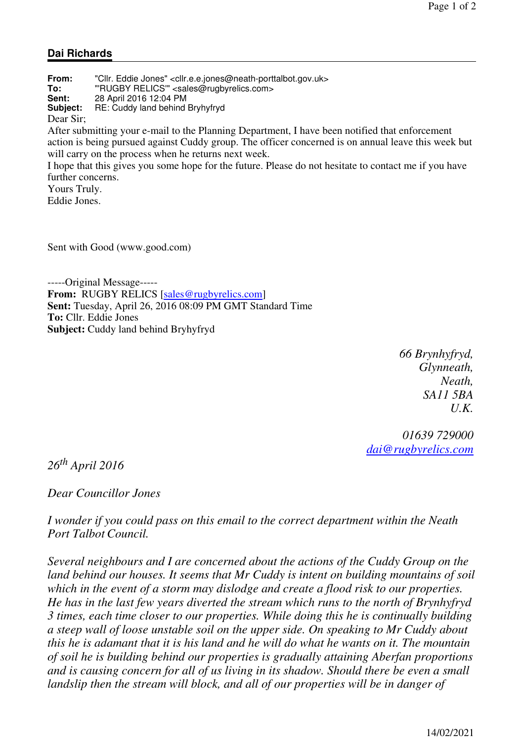## **Dai Richards**

**From:** "Cllr. Eddie Jones" <cllr.e.e.jones@neath-porttalbot.gov.uk> **To:** "'RUGBY RELICS'" <sales@rugbyrelics.com> **Sent:** 28 April 2016 12:04 PM **Subject:** RE: Cuddy land behind Bryhyfryd Dear Sir; After submitting your e-mail to the Planning Department, I have been notified that enforcement action is being pursued against Cuddy group. The officer concerned is on annual leave this week but will carry on the process when he returns next week. I hope that this gives you some hope for the future. Please do not hesitate to contact me if you have further concerns. Yours Truly.

Eddie Jones.

Sent with Good (www.good.com)

-----Original Message----- From: RUGBY RELICS [sales@rugbyrelics.com] **Sent:** Tuesday, April 26, 2016 08:09 PM GMT Standard Time **To:** Cllr. Eddie Jones **Subject:** Cuddy land behind Bryhyfryd

> *66 Brynhyfryd, Glynneath, Neath, SA11 5BA U.K.*

*01639 729000 dai@rugbyrelics.com*

*26th April 2016*

*Dear Councillor Jones*

*I wonder if you could pass on this email to the correct department within the Neath Port Talbot Council.*

*Several neighbours and I are concerned about the actions of the Cuddy Group on the land behind our houses. It seems that Mr Cuddy is intent on building mountains of soil which in the event of a storm may dislodge and create a flood risk to our properties. He has in the last few years diverted the stream which runs to the north of Brynhyfryd 3 times, each time closer to our properties. While doing this he is continually building a steep wall of loose unstable soil on the upper side. On speaking to Mr Cuddy about this he is adamant that it is his land and he will do what he wants on it. The mountain of soil he is building behind our properties is gradually attaining Aberfan proportions and is causing concern for all of us living in its shadow. Should there be even a small landslip then the stream will block, and all of our properties will be in danger of*